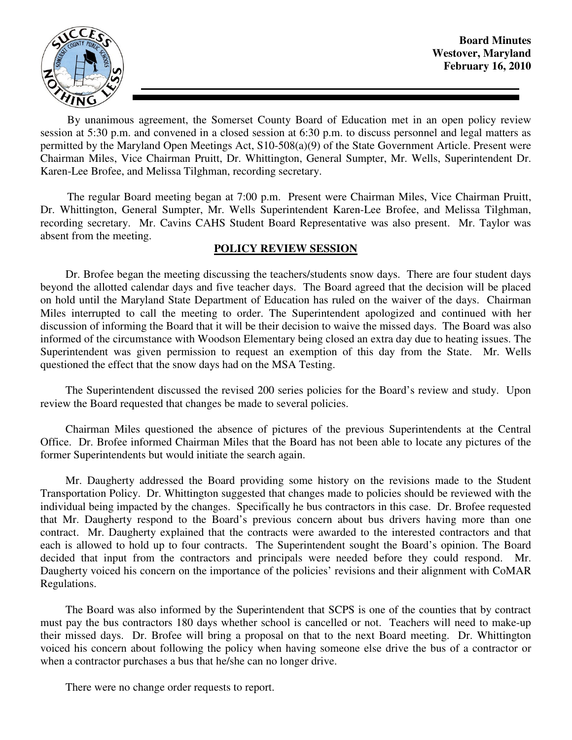

**Board Minutes Westover, Maryland February 16, 2010** 

By unanimous agreement, the Somerset County Board of Education met in an open policy review session at 5:30 p.m. and convened in a closed session at 6:30 p.m. to discuss personnel and legal matters as permitted by the Maryland Open Meetings Act, S10-508(a)(9) of the State Government Article. Present were Chairman Miles, Vice Chairman Pruitt, Dr. Whittington, General Sumpter, Mr. Wells, Superintendent Dr. Karen-Lee Brofee, and Melissa Tilghman, recording secretary.

The regular Board meeting began at 7:00 p.m. Present were Chairman Miles, Vice Chairman Pruitt, Dr. Whittington, General Sumpter, Mr. Wells Superintendent Karen-Lee Brofee, and Melissa Tilghman, recording secretary. Mr. Cavins CAHS Student Board Representative was also present. Mr. Taylor was absent from the meeting.

## **POLICY REVIEW SESSION**

Dr. Brofee began the meeting discussing the teachers/students snow days. There are four student days beyond the allotted calendar days and five teacher days. The Board agreed that the decision will be placed on hold until the Maryland State Department of Education has ruled on the waiver of the days. Chairman Miles interrupted to call the meeting to order. The Superintendent apologized and continued with her discussion of informing the Board that it will be their decision to waive the missed days. The Board was also informed of the circumstance with Woodson Elementary being closed an extra day due to heating issues. The Superintendent was given permission to request an exemption of this day from the State. Mr. Wells questioned the effect that the snow days had on the MSA Testing.

 The Superintendent discussed the revised 200 series policies for the Board's review and study. Upon review the Board requested that changes be made to several policies.

 Chairman Miles questioned the absence of pictures of the previous Superintendents at the Central Office. Dr. Brofee informed Chairman Miles that the Board has not been able to locate any pictures of the former Superintendents but would initiate the search again.

 Mr. Daugherty addressed the Board providing some history on the revisions made to the Student Transportation Policy. Dr. Whittington suggested that changes made to policies should be reviewed with the individual being impacted by the changes. Specifically he bus contractors in this case. Dr. Brofee requested that Mr. Daugherty respond to the Board's previous concern about bus drivers having more than one contract. Mr. Daugherty explained that the contracts were awarded to the interested contractors and that each is allowed to hold up to four contracts. The Superintendent sought the Board's opinion. The Board decided that input from the contractors and principals were needed before they could respond. Mr. Daugherty voiced his concern on the importance of the policies' revisions and their alignment with CoMAR Regulations.

 The Board was also informed by the Superintendent that SCPS is one of the counties that by contract must pay the bus contractors 180 days whether school is cancelled or not. Teachers will need to make-up their missed days. Dr. Brofee will bring a proposal on that to the next Board meeting. Dr. Whittington voiced his concern about following the policy when having someone else drive the bus of a contractor or when a contractor purchases a bus that he/she can no longer drive.

There were no change order requests to report.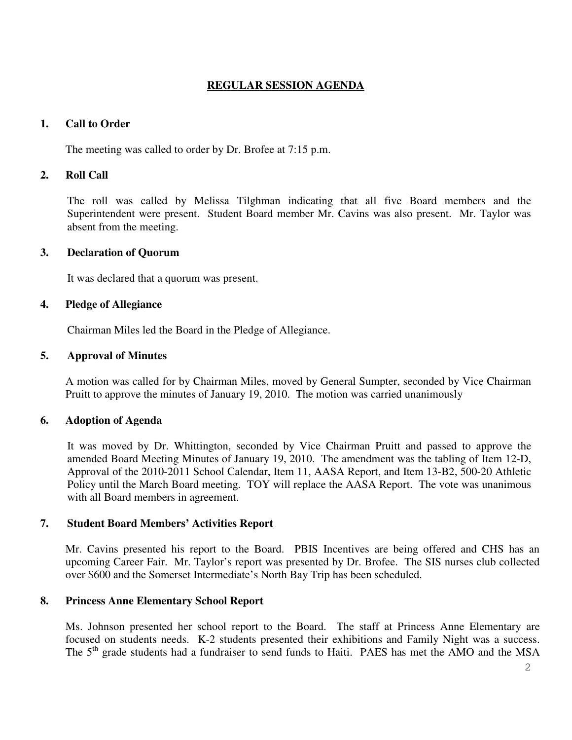# **REGULAR SESSION AGENDA**

## **1. Call to Order**

The meeting was called to order by Dr. Brofee at 7:15 p.m.

## **2. Roll Call**

The roll was called by Melissa Tilghman indicating that all five Board members and the Superintendent were present. Student Board member Mr. Cavins was also present. Mr. Taylor was absent from the meeting.

## **3. Declaration of Quorum**

It was declared that a quorum was present.

## **4. Pledge of Allegiance**

Chairman Miles led the Board in the Pledge of Allegiance.

## **5. Approval of Minutes**

A motion was called for by Chairman Miles, moved by General Sumpter, seconded by Vice Chairman Pruitt to approve the minutes of January 19, 2010. The motion was carried unanimously

## **6. Adoption of Agenda**

 It was moved by Dr. Whittington, seconded by Vice Chairman Pruitt and passed to approve the amended Board Meeting Minutes of January 19, 2010. The amendment was the tabling of Item 12-D, Approval of the 2010-2011 School Calendar, Item 11, AASA Report, and Item 13-B2, 500-20 Athletic Policy until the March Board meeting. TOY will replace the AASA Report. The vote was unanimous with all Board members in agreement.

## **7. Student Board Members' Activities Report**

Mr. Cavins presented his report to the Board. PBIS Incentives are being offered and CHS has an upcoming Career Fair. Mr. Taylor's report was presented by Dr. Brofee. The SIS nurses club collected over \$600 and the Somerset Intermediate's North Bay Trip has been scheduled.

## **8. Princess Anne Elementary School Report**

Ms. Johnson presented her school report to the Board. The staff at Princess Anne Elementary are focused on students needs. K-2 students presented their exhibitions and Family Night was a success. The 5<sup>th</sup> grade students had a fundraiser to send funds to Haiti. PAES has met the AMO and the MSA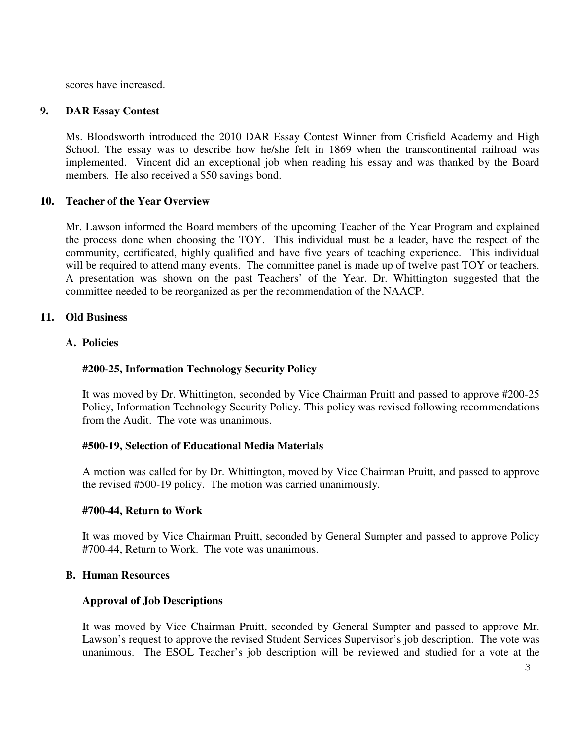scores have increased.

## **9. DAR Essay Contest**

Ms. Bloodsworth introduced the 2010 DAR Essay Contest Winner from Crisfield Academy and High School. The essay was to describe how he/she felt in 1869 when the transcontinental railroad was implemented. Vincent did an exceptional job when reading his essay and was thanked by the Board members. He also received a \$50 savings bond.

## **10. Teacher of the Year Overview**

Mr. Lawson informed the Board members of the upcoming Teacher of the Year Program and explained the process done when choosing the TOY. This individual must be a leader, have the respect of the community, certificated, highly qualified and have five years of teaching experience. This individual will be required to attend many events. The committee panel is made up of twelve past TOY or teachers. A presentation was shown on the past Teachers' of the Year. Dr. Whittington suggested that the committee needed to be reorganized as per the recommendation of the NAACP.

## **11. Old Business**

## **A. Policies**

## **#200-25, Information Technology Security Policy**

It was moved by Dr. Whittington, seconded by Vice Chairman Pruitt and passed to approve #200-25 Policy, Information Technology Security Policy. This policy was revised following recommendations from the Audit. The vote was unanimous.

## **#500-19, Selection of Educational Media Materials**

A motion was called for by Dr. Whittington, moved by Vice Chairman Pruitt, and passed to approve the revised #500-19 policy. The motion was carried unanimously.

## **#700-44, Return to Work**

It was moved by Vice Chairman Pruitt, seconded by General Sumpter and passed to approve Policy #700-44, Return to Work. The vote was unanimous.

## **B. Human Resources**

## **Approval of Job Descriptions**

It was moved by Vice Chairman Pruitt, seconded by General Sumpter and passed to approve Mr. Lawson's request to approve the revised Student Services Supervisor's job description. The vote was unanimous. The ESOL Teacher's job description will be reviewed and studied for a vote at the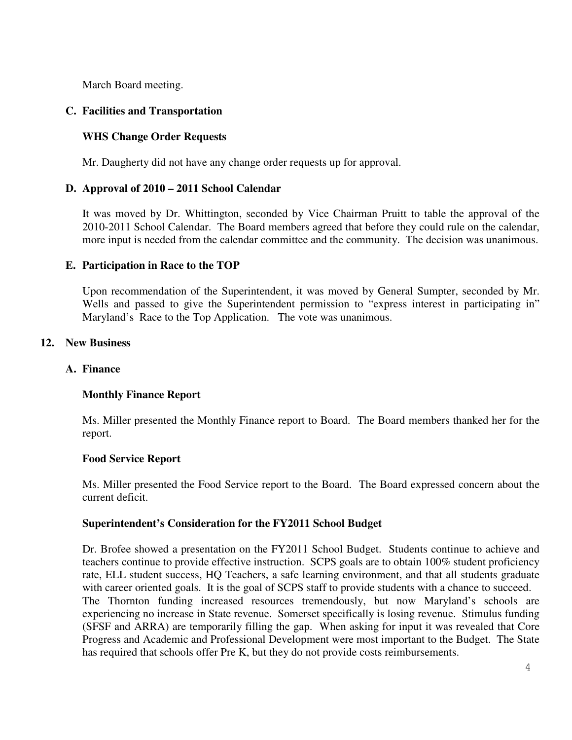March Board meeting.

# **C. Facilities and Transportation**

# **WHS Change Order Requests**

Mr. Daugherty did not have any change order requests up for approval.

## **D. Approval of 2010 – 2011 School Calendar**

It was moved by Dr. Whittington, seconded by Vice Chairman Pruitt to table the approval of the 2010-2011 School Calendar. The Board members agreed that before they could rule on the calendar, more input is needed from the calendar committee and the community. The decision was unanimous.

## **E. Participation in Race to the TOP**

Upon recommendation of the Superintendent, it was moved by General Sumpter, seconded by Mr. Wells and passed to give the Superintendent permission to "express interest in participating in" Maryland's Race to the Top Application. The vote was unanimous.

## **12. New Business**

## **A. Finance**

# **Monthly Finance Report**

Ms. Miller presented the Monthly Finance report to Board. The Board members thanked her for the report.

## **Food Service Report**

Ms. Miller presented the Food Service report to the Board. The Board expressed concern about the current deficit.

## **Superintendent's Consideration for the FY2011 School Budget**

Dr. Brofee showed a presentation on the FY2011 School Budget. Students continue to achieve and teachers continue to provide effective instruction. SCPS goals are to obtain 100% student proficiency rate, ELL student success, HQ Teachers, a safe learning environment, and that all students graduate with career oriented goals. It is the goal of SCPS staff to provide students with a chance to succeed. The Thornton funding increased resources tremendously, but now Maryland's schools are experiencing no increase in State revenue. Somerset specifically is losing revenue. Stimulus funding (SFSF and ARRA) are temporarily filling the gap. When asking for input it was revealed that Core Progress and Academic and Professional Development were most important to the Budget. The State has required that schools offer Pre K, but they do not provide costs reimbursements.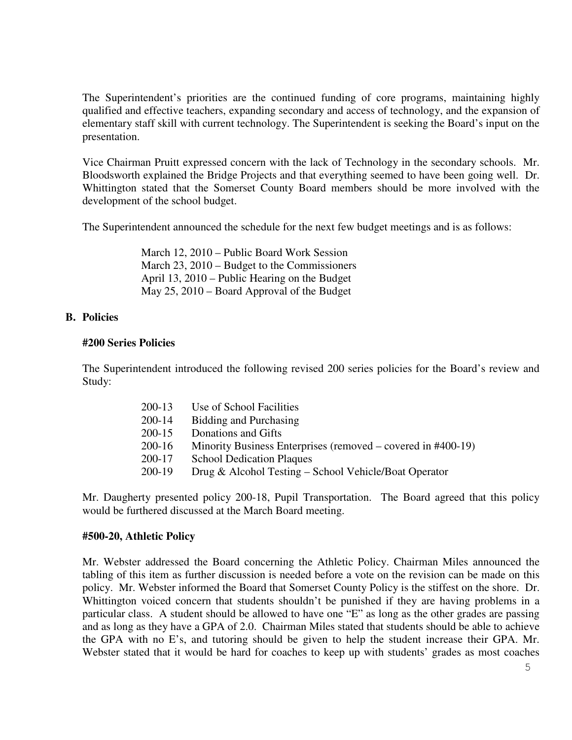The Superintendent's priorities are the continued funding of core programs, maintaining highly qualified and effective teachers, expanding secondary and access of technology, and the expansion of elementary staff skill with current technology. The Superintendent is seeking the Board's input on the presentation.

Vice Chairman Pruitt expressed concern with the lack of Technology in the secondary schools. Mr. Bloodsworth explained the Bridge Projects and that everything seemed to have been going well. Dr. Whittington stated that the Somerset County Board members should be more involved with the development of the school budget.

The Superintendent announced the schedule for the next few budget meetings and is as follows:

 March 12, 2010 – Public Board Work Session March 23, 2010 – Budget to the Commissioners April 13, 2010 – Public Hearing on the Budget May 25, 2010 – Board Approval of the Budget

#### **B. Policies**

#### **#200 Series Policies**

The Superintendent introduced the following revised 200 series policies for the Board's review and Study:

| 200-13 | Use of School Facilities                                     |
|--------|--------------------------------------------------------------|
| 200-14 | Bidding and Purchasing                                       |
| 200-15 | Donations and Gifts                                          |
| 200-16 | Minority Business Enterprises (removed – covered in #400-19) |
| 200-17 | <b>School Dedication Plaques</b>                             |
| 200-19 | Drug & Alcohol Testing – School Vehicle/Boat Operator        |
|        |                                                              |

Mr. Daugherty presented policy 200-18, Pupil Transportation. The Board agreed that this policy would be furthered discussed at the March Board meeting.

## **#500-20, Athletic Policy**

Mr. Webster addressed the Board concerning the Athletic Policy. Chairman Miles announced the tabling of this item as further discussion is needed before a vote on the revision can be made on this policy. Mr. Webster informed the Board that Somerset County Policy is the stiffest on the shore. Dr. Whittington voiced concern that students shouldn't be punished if they are having problems in a particular class. A student should be allowed to have one "E" as long as the other grades are passing and as long as they have a GPA of 2.0. Chairman Miles stated that students should be able to achieve the GPA with no E's, and tutoring should be given to help the student increase their GPA. Mr. Webster stated that it would be hard for coaches to keep up with students' grades as most coaches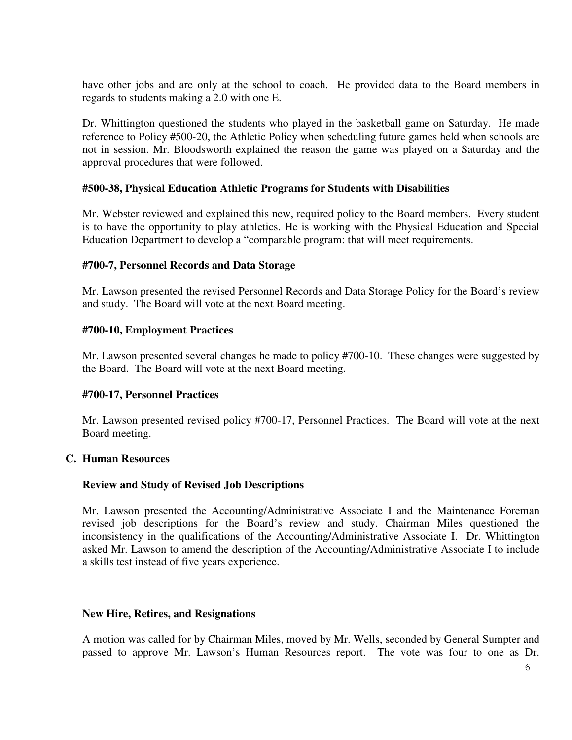have other jobs and are only at the school to coach. He provided data to the Board members in regards to students making a 2.0 with one E.

Dr. Whittington questioned the students who played in the basketball game on Saturday. He made reference to Policy #500-20, the Athletic Policy when scheduling future games held when schools are not in session. Mr. Bloodsworth explained the reason the game was played on a Saturday and the approval procedures that were followed.

## **#500-38, Physical Education Athletic Programs for Students with Disabilities**

Mr. Webster reviewed and explained this new, required policy to the Board members. Every student is to have the opportunity to play athletics. He is working with the Physical Education and Special Education Department to develop a "comparable program: that will meet requirements.

#### **#700-7, Personnel Records and Data Storage**

Mr. Lawson presented the revised Personnel Records and Data Storage Policy for the Board's review and study. The Board will vote at the next Board meeting.

#### **#700-10, Employment Practices**

Mr. Lawson presented several changes he made to policy #700-10. These changes were suggested by the Board. The Board will vote at the next Board meeting.

#### **#700-17, Personnel Practices**

Mr. Lawson presented revised policy #700-17, Personnel Practices. The Board will vote at the next Board meeting.

#### **C. Human Resources**

## **Review and Study of Revised Job Descriptions**

Mr. Lawson presented the Accounting/Administrative Associate I and the Maintenance Foreman revised job descriptions for the Board's review and study. Chairman Miles questioned the inconsistency in the qualifications of the Accounting/Administrative Associate I. Dr. Whittington asked Mr. Lawson to amend the description of the Accounting/Administrative Associate I to include a skills test instead of five years experience.

#### **New Hire, Retires, and Resignations**

A motion was called for by Chairman Miles, moved by Mr. Wells, seconded by General Sumpter and passed to approve Mr. Lawson's Human Resources report. The vote was four to one as Dr.